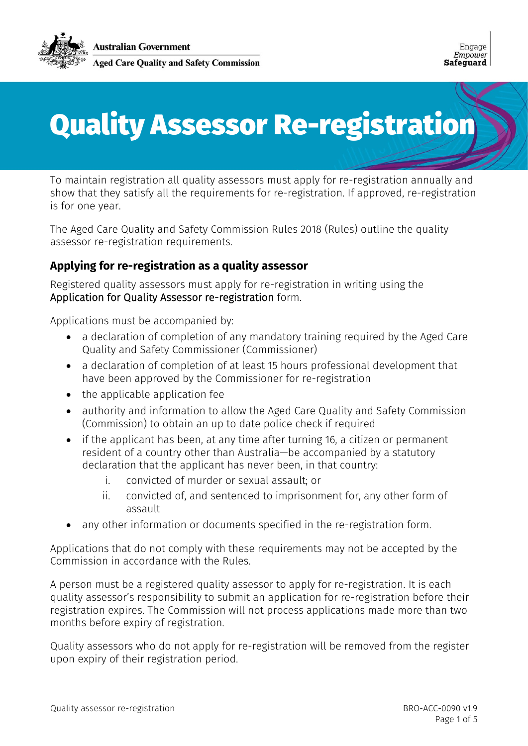

# Quality Assessor Re-registration

To maintain registration all quality assessors must apply for re-registration annually and show that they satisfy all the requirements for re-registration. If approved, re-registration is for one year.

The Aged Care Quality and Safety Commission Rules 2018 (Rules) outline the quality assessor re-registration requirements.

## **Applying for re-registration as a quality assessor**

Registered quality assessors must apply for re-registration in writing using the Application for Quality Assessor re-registration form.

Applications must be accompanied by:

- a declaration of completion of any mandatory training required by the Aged Care Quality and Safety Commissioner (Commissioner)
- a declaration of completion of at least 15 hours professional development that have been approved by the Commissioner for re-registration
- the applicable application fee
- authority and information to allow the Aged Care Quality and Safety Commission (Commission) to obtain an up to date police check if required
- if the applicant has been, at any time after turning 16, a citizen or permanent resident of a country other than Australia—be accompanied by a statutory declaration that the applicant has never been, in that country:
	- i. convicted of murder or sexual assault; or
	- ii. convicted of, and sentenced to imprisonment for, any other form of assault
- any other information or documents specified in the re-registration form.

Applications that do not comply with these requirements may not be accepted by the Commission in accordance with the Rules.

A person must be a registered quality assessor to apply for re-registration. It is each quality assessor's responsibility to submit an application for re-registration before their registration expires. The Commission will not process applications made more than two months before expiry of registration.

Quality assessors who do not apply for re-registration will be removed from the register upon expiry of their registration period.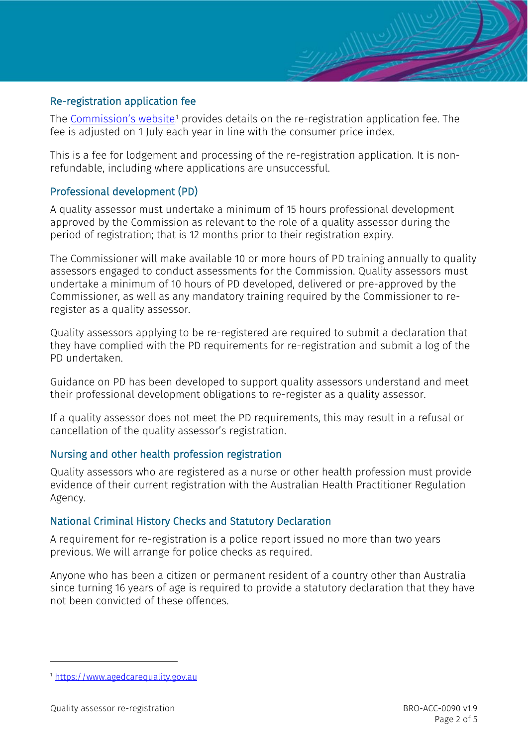#### Re-registration application fee

The <u>Commission's website.</u>1 provides details on the re-registration application fee. The fee is adjusted on 1 July each year in line with the consumer price index.

This is a fee for lodgement and processing of the re-registration application. It is nonrefundable, including where applications are unsuccessful.

#### Professional development (PD)

A quality assessor must undertake a minimum of 15 hours professional development approved by the Commission as relevant to the role of a quality assessor during the period of registration; that is 12 months prior to their registration expiry.

The Commissioner will make available 10 or more hours of PD training annually to quality assessors engaged to conduct assessments for the Commission. Quality assessors must undertake a minimum of 10 hours of PD developed, delivered or pre-approved by the Commissioner, as well as any mandatory training required by the Commissioner to reregister as a quality assessor.

Quality assessors applying to be re-registered are required to submit a declaration that they have complied with the PD requirements for re-registration and submit a log of the PD undertaken.

Guidance on PD has been developed to support quality assessors understand and meet their professional development obligations to re-register as a quality assessor.

If a quality assessor does not meet the PD requirements, this may result in a refusal or cancellation of the quality assessor's registration.

#### Nursing and other health profession registration

Quality assessors who are registered as a nurse or other health profession must provide evidence of their current registration with the Australian Health Practitioner Regulation Agency.

## National Criminal History Checks and Statutory Declaration

A requirement for re-registration is a police report issued no more than two years previous. We will arrange for police checks as required.

Anyone who has been a citizen or permanent resident of a country other than Australia since turning 16 years of age is required to provide a statutory declaration that they have not been convicted of these offences.

-

<sup>1</sup> [https://www.agedcarequality.gov.au](https://www.agedcarequality.gov.au/)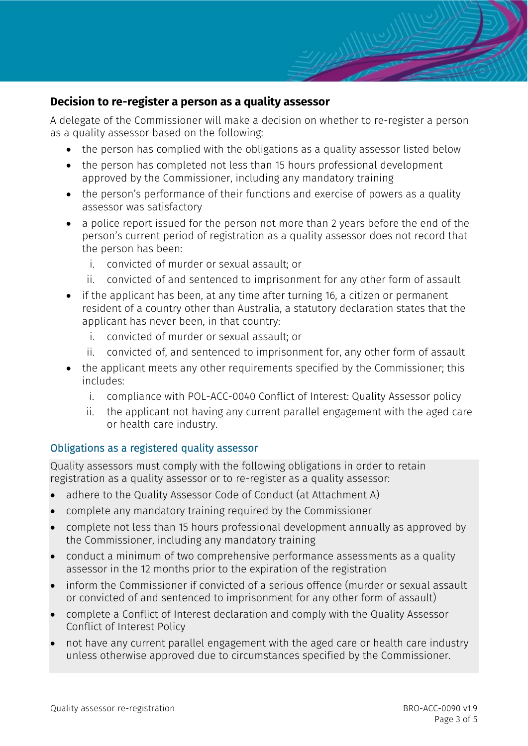## **Decision to re-register a person as a quality assessor**

A delegate of the Commissioner will make a decision on whether to re-register a person as a quality assessor based on the following:

- the person has complied with the obligations as a quality assessor listed below
- the person has completed not less than 15 hours professional development approved by the Commissioner, including any mandatory training
- the person's performance of their functions and exercise of powers as a quality assessor was satisfactory
- a police report issued for the person not more than 2 years before the end of the person's current period of registration as a quality assessor does not record that the person has been:
	- i. convicted of murder or sexual assault; or
	- ii. convicted of and sentenced to imprisonment for any other form of assault
- if the applicant has been, at any time after turning 16, a citizen or permanent resident of a country other than Australia, a statutory declaration states that the applicant has never been, in that country:
	- i. convicted of murder or sexual assault; or
	- ii. convicted of, and sentenced to imprisonment for, any other form of assault
- the applicant meets any other requirements specified by the Commissioner; this includes:
	- i. compliance with POL-ACC-0040 Conflict of Interest: Quality Assessor policy
	- ii. the applicant not having any current parallel engagement with the aged care or health care industry.

## Obligations as a registered quality assessor

Quality assessors must comply with the following obligations in order to retain registration as a quality assessor or to re-register as a quality assessor:

- adhere to the Quality Assessor Code of Conduct (at Attachment A)
- complete any mandatory training required by the Commissioner
- complete not less than 15 hours professional development annually as approved by the Commissioner, including any mandatory training
- conduct a minimum of two comprehensive performance assessments as a quality assessor in the 12 months prior to the expiration of the registration
- inform the Commissioner if convicted of a serious offence (murder or sexual assault or convicted of and sentenced to imprisonment for any other form of assault)
- complete a Conflict of Interest declaration and comply with the Quality Assessor Conflict of Interest Policy
- not have any current parallel engagement with the aged care or health care industry unless otherwise approved due to circumstances specified by the Commissioner.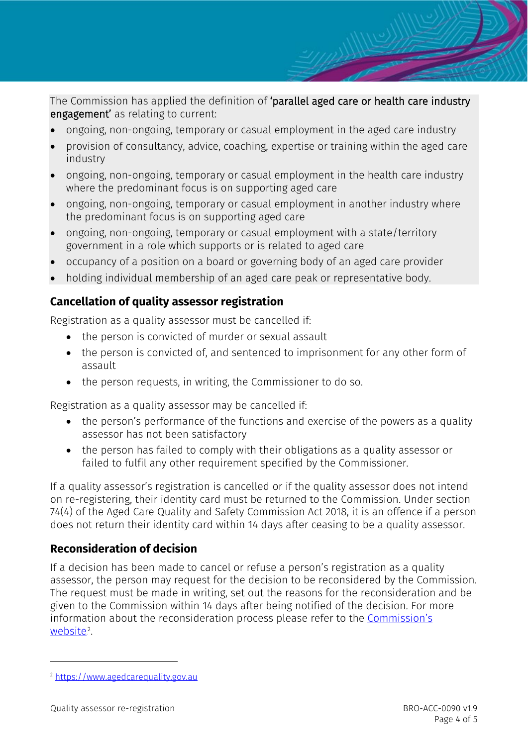The Commission has applied the definition of 'parallel aged care or health care industry engagement' as relating to current:

- ongoing, non-ongoing, temporary or casual employment in the aged care industry
- provision of consultancy, advice, coaching, expertise or training within the aged care industry
- ongoing, non-ongoing, temporary or casual employment in the health care industry where the predominant focus is on supporting aged care
- ongoing, non-ongoing, temporary or casual employment in another industry where the predominant focus is on supporting aged care
- ongoing, non-ongoing, temporary or casual employment with a state/territory government in a role which supports or is related to aged care
- occupancy of a position on a board or governing body of an aged care provider
- holding individual membership of an aged care peak or representative body.

# **Cancellation of quality assessor registration**

Registration as a quality assessor must be cancelled if:

- the person is convicted of murder or sexual assault
- the person is convicted of, and sentenced to imprisonment for any other form of assault
- the person requests, in writing, the Commissioner to do so.

Registration as a quality assessor may be cancelled if:

- the person's performance of the functions and exercise of the powers as a quality assessor has not been satisfactory
- the person has failed to comply with their obligations as a quality assessor or failed to fulfil any other requirement specified by the Commissioner.

If a quality assessor's registration is cancelled or if the quality assessor does not intend on re-registering, their identity card must be returned to the Commission. Under section 74(4) of the Aged Care Quality and Safety Commission Act 2018, it is an offence if a person does not return their identity card within 14 days after ceasing to be a quality assessor.

## **Reconsideration of decision**

If a decision has been made to cancel or refuse a person's registration as a quality assessor, the person may request for the decision to be reconsidered by the Commission. The request must be made in writing, set out the reasons for the reconsideration and be given to the Commission within 14 days after being notified of the decision. For more information about the reconsideration process please refer to the [Commission's](https://www.agedcarequality.gov.au/)  <u>[website](https://www.agedcarequality.gov.au/)</u>?.

-

<sup>2</sup> [https://www.agedcarequality.gov.au](https://www.agedcarequality.gov.au/)